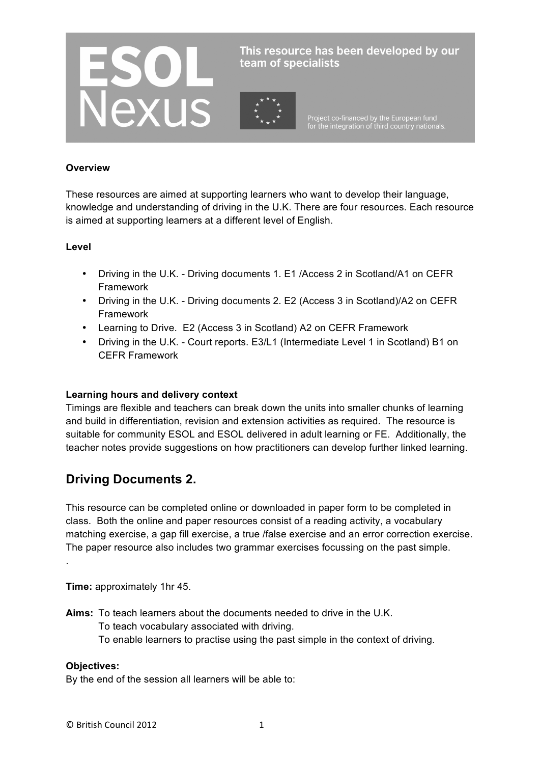

This resource has been developed by our team of specialists

Project co-financed by the European fund<br>for the integration of third country nationals.

#### **Overview**

These resources are aimed at supporting learners who want to develop their language, knowledge and understanding of driving in the U.K. There are four resources. Each resource is aimed at supporting learners at a different level of English.

#### **Level**

- Driving in the U.K. Driving documents 1. E1 /Access 2 in Scotland/A1 on CEFR Framework
- Driving in the U.K. Driving documents 2. E2 (Access 3 in Scotland)/A2 on CEFR Framework
- Learning to Drive. E2 (Access 3 in Scotland) A2 on CEFR Framework
- Driving in the U.K. Court reports. E3/L1 (Intermediate Level 1 in Scotland) B1 on CEFR Framework

#### **Learning hours and delivery context**

Timings are flexible and teachers can break down the units into smaller chunks of learning and build in differentiation, revision and extension activities as required. The resource is suitable for community ESOL and ESOL delivered in adult learning or FE. Additionally, the teacher notes provide suggestions on how practitioners can develop further linked learning.

# **Driving Documents 2.**

This resource can be completed online or downloaded in paper form to be completed in class. Both the online and paper resources consist of a reading activity, a vocabulary matching exercise, a gap fill exercise, a true /false exercise and an error correction exercise. The paper resource also includes two grammar exercises focussing on the past simple.

**Time:** approximately 1hr 45.

**Aims:** To teach learners about the documents needed to drive in the U.K. To teach vocabulary associated with driving. To enable learners to practise using the past simple in the context of driving.

## **Objectives:**

.

By the end of the session all learners will be able to: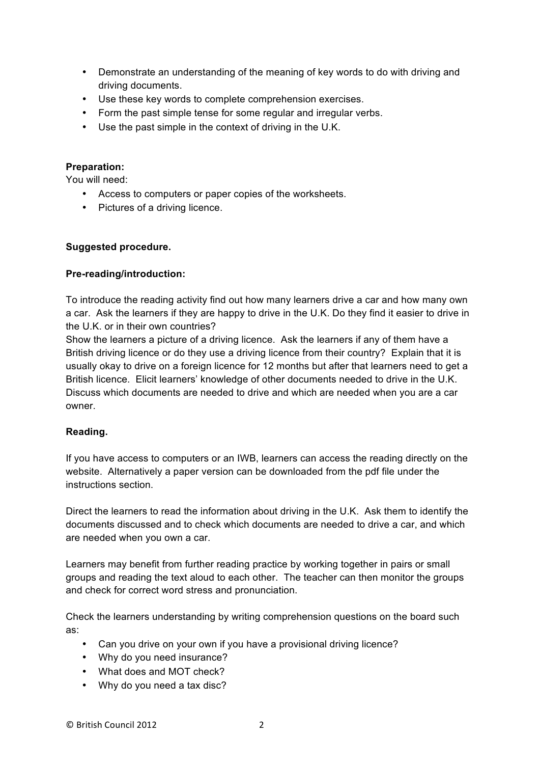- Demonstrate an understanding of the meaning of key words to do with driving and driving documents.
- Use these key words to complete comprehension exercises.
- Form the past simple tense for some regular and irregular verbs.
- Use the past simple in the context of driving in the U.K.

#### **Preparation:**

You will need:

- Access to computers or paper copies of the worksheets.
- Pictures of a driving licence.

#### **Suggested procedure.**

#### **Pre-reading/introduction:**

To introduce the reading activity find out how many learners drive a car and how many own a car. Ask the learners if they are happy to drive in the U.K. Do they find it easier to drive in the U.K. or in their own countries?

Show the learners a picture of a driving licence. Ask the learners if any of them have a British driving licence or do they use a driving licence from their country? Explain that it is usually okay to drive on a foreign licence for 12 months but after that learners need to get a British licence. Elicit learners' knowledge of other documents needed to drive in the U.K. Discuss which documents are needed to drive and which are needed when you are a car owner.

#### **Reading.**

If you have access to computers or an IWB, learners can access the reading directly on the website. Alternatively a paper version can be downloaded from the pdf file under the instructions section.

Direct the learners to read the information about driving in the U.K. Ask them to identify the documents discussed and to check which documents are needed to drive a car, and which are needed when you own a car.

Learners may benefit from further reading practice by working together in pairs or small groups and reading the text aloud to each other. The teacher can then monitor the groups and check for correct word stress and pronunciation.

Check the learners understanding by writing comprehension questions on the board such as:

- Can you drive on your own if you have a provisional driving licence?
- Why do you need insurance?
- What does and MOT check?
- Why do you need a tax disc?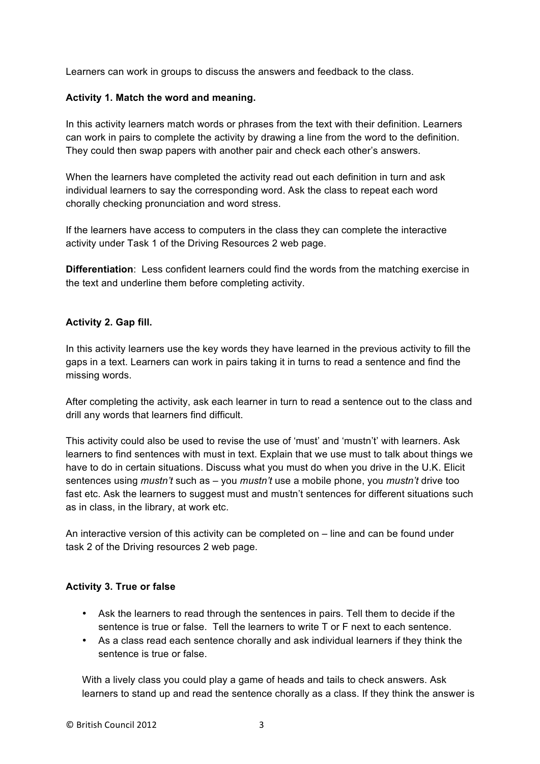Learners can work in groups to discuss the answers and feedback to the class.

#### **Activity 1. Match the word and meaning.**

In this activity learners match words or phrases from the text with their definition. Learners can work in pairs to complete the activity by drawing a line from the word to the definition. They could then swap papers with another pair and check each other's answers.

When the learners have completed the activity read out each definition in turn and ask individual learners to say the corresponding word. Ask the class to repeat each word chorally checking pronunciation and word stress.

If the learners have access to computers in the class they can complete the interactive activity under Task 1 of the Driving Resources 2 web page.

**Differentiation**: Less confident learners could find the words from the matching exercise in the text and underline them before completing activity.

#### **Activity 2. Gap fill.**

In this activity learners use the key words they have learned in the previous activity to fill the gaps in a text. Learners can work in pairs taking it in turns to read a sentence and find the missing words.

After completing the activity, ask each learner in turn to read a sentence out to the class and drill any words that learners find difficult.

This activity could also be used to revise the use of 'must' and 'mustn't' with learners. Ask learners to find sentences with must in text. Explain that we use must to talk about things we have to do in certain situations. Discuss what you must do when you drive in the U.K. Elicit sentences using *mustn't* such as – you *mustn't* use a mobile phone, you *mustn't* drive too fast etc. Ask the learners to suggest must and mustn't sentences for different situations such as in class, in the library, at work etc.

An interactive version of this activity can be completed on – line and can be found under task 2 of the Driving resources 2 web page.

#### **Activity 3. True or false**

- Ask the learners to read through the sentences in pairs. Tell them to decide if the sentence is true or false. Tell the learners to write T or F next to each sentence.
- As a class read each sentence chorally and ask individual learners if they think the sentence is true or false.

With a lively class you could play a game of heads and tails to check answers. Ask learners to stand up and read the sentence chorally as a class. If they think the answer is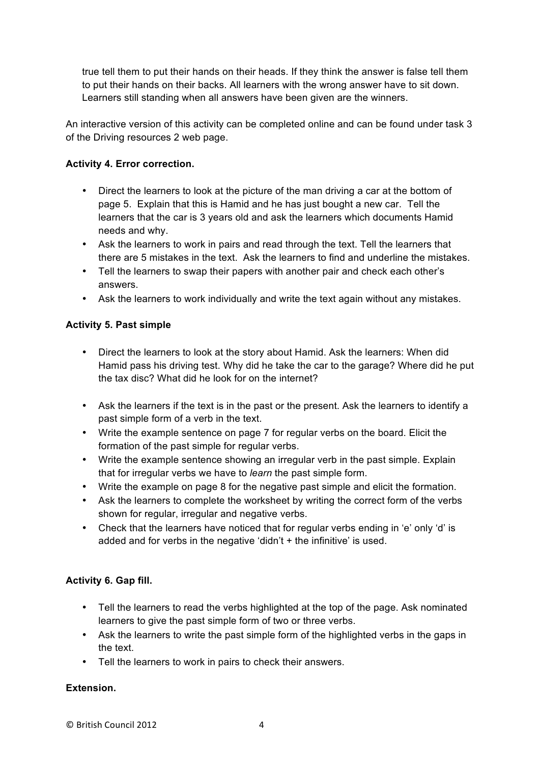true tell them to put their hands on their heads. If they think the answer is false tell them to put their hands on their backs. All learners with the wrong answer have to sit down. Learners still standing when all answers have been given are the winners.

An interactive version of this activity can be completed online and can be found under task 3 of the Driving resources 2 web page.

## **Activity 4. Error correction.**

- Direct the learners to look at the picture of the man driving a car at the bottom of page 5. Explain that this is Hamid and he has just bought a new car. Tell the learners that the car is 3 years old and ask the learners which documents Hamid needs and why.
- Ask the learners to work in pairs and read through the text. Tell the learners that there are 5 mistakes in the text. Ask the learners to find and underline the mistakes.
- Tell the learners to swap their papers with another pair and check each other's answers.
- Ask the learners to work individually and write the text again without any mistakes.

## **Activity 5. Past simple**

- Direct the learners to look at the story about Hamid. Ask the learners: When did Hamid pass his driving test. Why did he take the car to the garage? Where did he put the tax disc? What did he look for on the internet?
- Ask the learners if the text is in the past or the present. Ask the learners to identify a past simple form of a verb in the text.
- Write the example sentence on page 7 for regular verbs on the board. Elicit the formation of the past simple for regular verbs.
- Write the example sentence showing an irregular verb in the past simple. Explain that for irregular verbs we have to *learn* the past simple form.
- Write the example on page 8 for the negative past simple and elicit the formation.
- Ask the learners to complete the worksheet by writing the correct form of the verbs shown for regular, irregular and negative verbs.
- Check that the learners have noticed that for regular verbs ending in 'e' only 'd' is added and for verbs in the negative 'didn't + the infinitive' is used.

# **Activity 6. Gap fill.**

- Tell the learners to read the verbs highlighted at the top of the page. Ask nominated learners to give the past simple form of two or three verbs.
- Ask the learners to write the past simple form of the highlighted verbs in the gaps in the text.
- Tell the learners to work in pairs to check their answers.

# **Extension.**